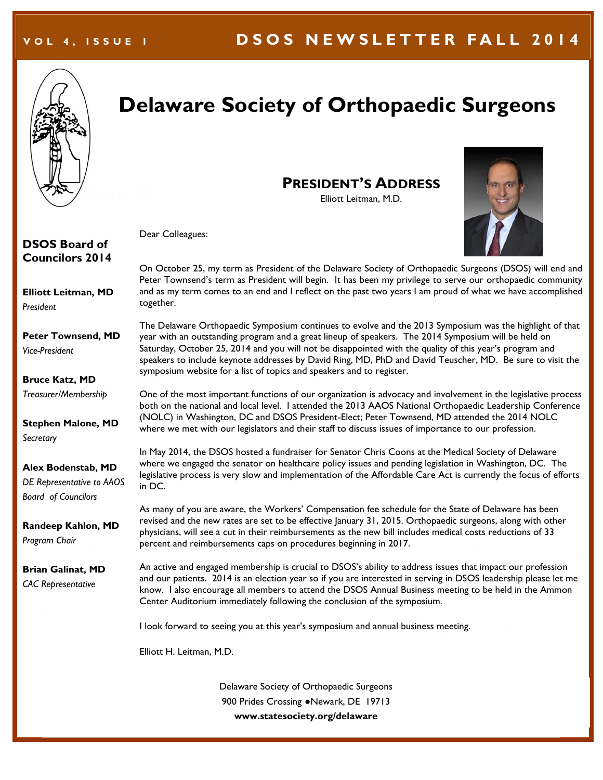

# **Delaware Society of Orthopaedic Surgeons**

**PRESIDENT'S ADDRESS** Elliott Leitman, M.D.



Dear Colleagues:

#### **DSOS Board of Councilors 2014**

**Elliott Leitman, MD**  *President* 

**Peter Townsend, MD**  *Vice-President*

**Bruce Katz, MD**

*Treasurer/Membership*

**Stephen Malone, MD**  *Secretary*

**Alex Bodenstab, MD** *DE Representative to AAOS Board of Councilors*

**Randeep Kahlon, MD** *Program Chair*

**Brian Galinat, MD** *CAC Representative*

On October 25, my term as President of the Delaware Society of Orthopaedic Surgeons (DSOS) will end and Peter Townsend's term as President will begin. It has been my privilege to serve our orthopaedic community and as my term comes to an end and I reflect on the past two years I am proud of what we have accomplished together.

The Delaware Orthopaedic Symposium continues to evolve and the 2013 Symposium was the highlight of that year with an outstanding program and a great lineup of speakers. The 2014 Symposium will be held on Saturday, October 25, 2014 and you will not be disappointed with the quality of this year's program and speakers to include keynote addresses by David Ring, MD, PhD and David Teuscher, MD. Be sure to visit the symposium website for a list of topics and speakers and to register.

One of the most important functions of our organization is advocacy and involvement in the legislative process both on the national and local level. I attended the 2013 AAOS National Orthopaedic Leadership Conference (NOLC) in Washington, DC and DSOS President-Elect; Peter Townsend, MD attended the 2014 NOLC where we met with our legislators and their staff to discuss issues of importance to our profession.

In May 2014, the DSOS hosted a fundraiser for Senator Chris Coons at the Medical Society of Delaware where we engaged the senator on healthcare policy issues and pending legislation in Washington, DC. The legislative process is very slow and implementation of the Affordable Care Act is currently the focus of efforts in DC.

As many of you are aware, the Workers' Compensation fee schedule for the State of Delaware has been revised and the new rates are set to be effective January 31, 2015. Orthopaedic surgeons, along with other physicians, will see a cut in their reimbursements as the new bill includes medical costs reductions of 33 percent and reimbursements caps on procedures beginning in 2017.

An active and engaged membership is crucial to DSOS's ability to address issues that impact our profession and our patients. 2014 is an election year so if you are interested in serving in DSOS leadership please let me know. I also encourage all members to attend the DSOS Annual Business meeting to be held in the Ammon Center Auditorium immediately following the conclusion of the symposium.

I look forward to seeing you at this year's symposium and annual business meeting.

Elliott H. Leitman, M.D.

Delaware Society of Orthopaedic Surgeons 900 Prides Crossing ●Newark, DE 19713 **www.statesociety.org/delaware**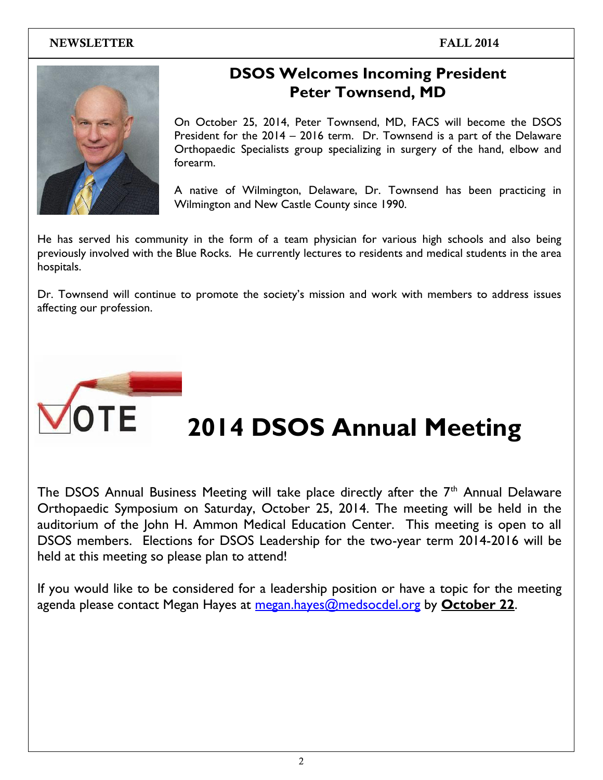

### **DSOS Welcomes Incoming President Peter Townsend, MD**

On October 25, 2014, Peter Townsend, MD, FACS will become the DSOS President for the 2014 – 2016 term. Dr. Townsend is a part of the Delaware Orthopaedic Specialists group specializing in surgery of the hand, elbow and forearm.

A native of Wilmington, Delaware, Dr. Townsend has been practicing in Wilmington and New Castle County since 1990.

He has served his community in the form of a team physician for various high schools and also being previously involved with the Blue Rocks. He currently lectures to residents and medical students in the area hospitals.

Dr. Townsend will continue to promote the society's mission and work with members to address issues affecting our profession.



# **2014 DSOS Annual Meeting**

The DSOS Annual Business Meeting will take place directly after the  $7<sup>th</sup>$  Annual Delaware Orthopaedic Symposium on Saturday, October 25, 2014. The meeting will be held in the auditorium of the John H. Ammon Medical Education Center. This meeting is open to all DSOS members. Elections for DSOS Leadership for the two-year term 2014-2016 will be held at this meeting so please plan to attend!

If you would like to be considered for a leadership position or have a topic for the meeting agenda please contact Megan Hayes at [megan.hayes@medsocdel.org](mailto:megan.hayes@medsocdel.org) by **October 22**.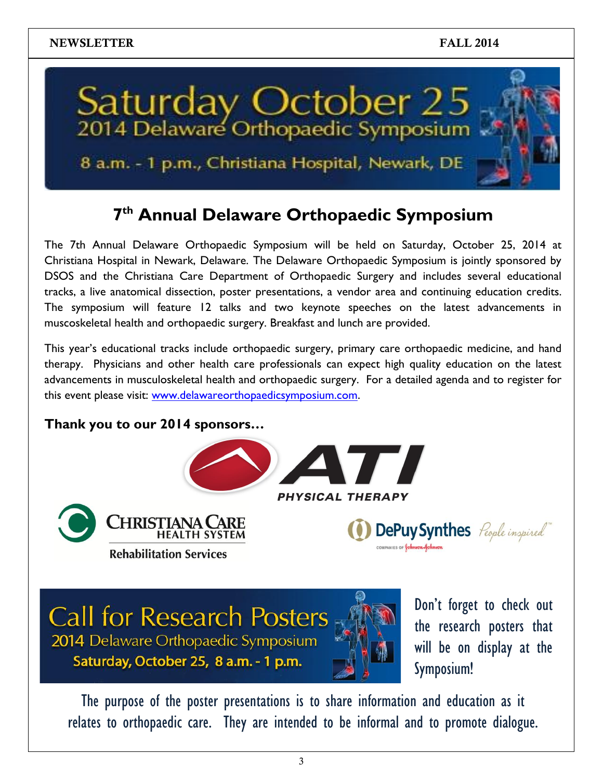

### 8 a.m. - 1 p.m., Christiana Hospital, Newark, DE

### **7 th Annual Delaware Orthopaedic Symposium**

The 7th Annual Delaware Orthopaedic Symposium will be held on Saturday, October 25, 2014 at Christiana Hospital in Newark, Delaware. The Delaware Orthopaedic Symposium is jointly sponsored by DSOS and the Christiana Care Department of Orthopaedic Surgery and includes several educational tracks, a live anatomical dissection, poster presentations, a vendor area and continuing education credits. The symposium will feature 12 talks and two keynote speeches on the latest advancements in muscoskeletal health and orthopaedic surgery. Breakfast and lunch are provided.

This year's educational tracks include orthopaedic surgery, primary care orthopaedic medicine, and hand therapy. Physicians and other health care professionals can expect high quality education on the latest advancements in musculoskeletal health and orthopaedic surgery. For a detailed agenda and to register for this event please visit: [www.delawareorthopaedicsymposium.com.](http://www.delawareorthopaedicsymposium.com/)

### **Thank you to our 2014 sponsors…**





**Call for Research Posters** 

2014 Delaware Orthopaedic Symposium

Saturday, October 25, 8 a.m. - 1 p.m.

#### PHYSICAL THERAPY



DePuy Synthes People inspired

on display at the symposium!

The purpose of the poster presentations is to share information and education as it relates to orthopaedic care. They are intended to be informal and to promote dialogue.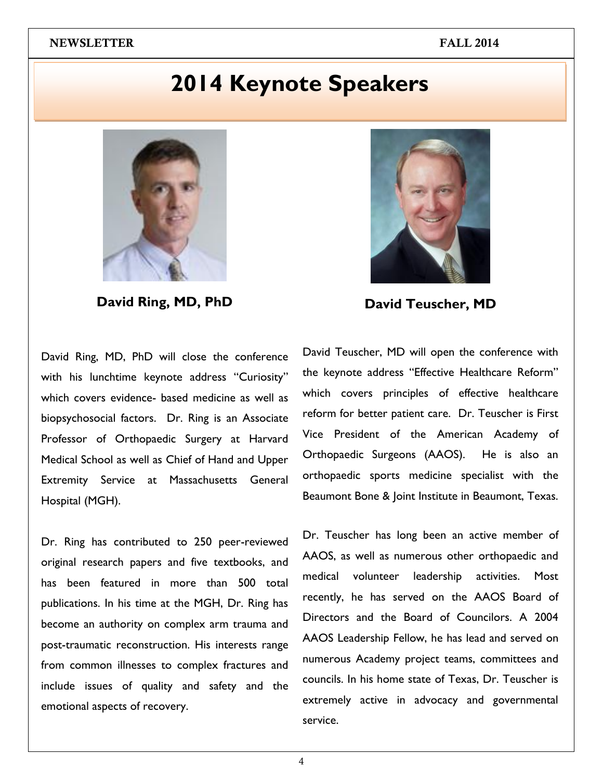## **2014 Keynote Speakers**



**David Ring, MD, PhD**

David Ring, MD, PhD will close the conference with his lunchtime keynote address "Curiosity" which covers evidence- based medicine as well as biopsychosocial factors. Dr. Ring is an Associate Professor of Orthopaedic Surgery at Harvard Medical School as well as Chief of Hand and Upper Extremity Service at Massachusetts General Hospital (MGH).

Dr. Ring has contributed to 250 peer-reviewed original research papers and five textbooks, and has been featured in more than 500 total publications. In his time at the MGH, Dr. Ring has become an authority on complex arm trauma and post-traumatic reconstruction. His interests range from common illnesses to complex fractures and include issues of quality and safety and the emotional aspects of recovery.



**David Teuscher, MD**

David Teuscher, MD will open the conference with the keynote address "Effective Healthcare Reform" which covers principles of effective healthcare reform for better patient care. Dr. Teuscher is First Vice President of the American Academy of Orthopaedic Surgeons (AAOS). He is also an orthopaedic sports medicine specialist with the Beaumont Bone & Joint Institute in Beaumont, Texas.

Dr. Teuscher has long been an active member of AAOS, as well as numerous other orthopaedic and medical volunteer leadership activities. Most recently, he has served on the AAOS Board of Directors and the Board of Councilors. A 2004 AAOS Leadership Fellow, he has lead and served on numerous Academy project teams, committees and councils. In his home state of Texas, Dr. Teuscher is extremely active in advocacy and governmental service.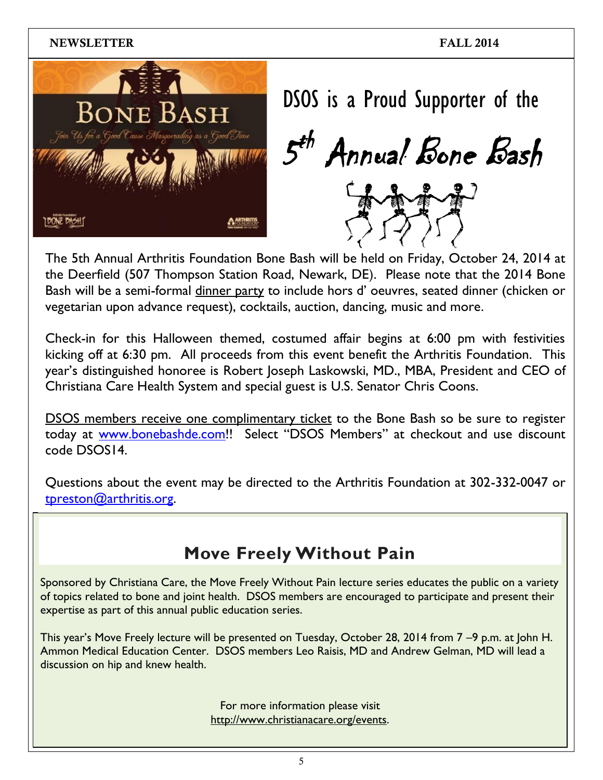

DSOS is a Proud Supporter of the

 ${\cal{5}}^{\!\star}$ th Annual Bone Bash



The 5th Annual Arthritis Foundation Bone Bash will be held on Friday, October 24, 2014 at the Deerfield (507 Thompson Station Road, Newark, DE). Please note that the 2014 Bone Bash will be a semi-formal dinner party to include hors d' oeuvres, seated dinner (chicken or vegetarian upon advance request), cocktails, auction, dancing, music and more.

Check-in for this Halloween themed, costumed affair begins at 6:00 pm with festivities kicking off at 6:30 pm. All proceeds from this event benefit the Arthritis Foundation. This year's distinguished honoree is Robert Joseph Laskowski, MD., MBA, President and CEO of Christiana Care Health System and special guest is U.S. Senator Chris Coons.

DSOS members receive one complimentary ticket to the Bone Bash so be sure to register today at [www.bonebashde.com!](http://www.bonebashde.com/)! Select "DSOS Members" at checkout and use discount code DSOS14.

Questions about the event may be directed to the Arthritis Foundation at 302-332-0047 or [tpreston@arthritis.org.](mailto:tpreston@arthritis.org)

### **Move Freely Without Pain**

Sponsored by Christiana Care, the Move Freely Without Pain lecture series educates the public on a variety of topics related to bone and joint health. DSOS members are encouraged to participate and present their expertise as part of this annual public education series.

This year's Move Freely lecture will be presented on Tuesday, October 28, 2014 from 7 –9 p.m. at John H. Ammon Medical Education Center. DSOS members Leo Raisis, MD and Andrew Gelman, MD will lead a discussion on hip and knew health.

> For more information please visit [http://www.christianacare.org/events.](http://www.christianacare.org/events)